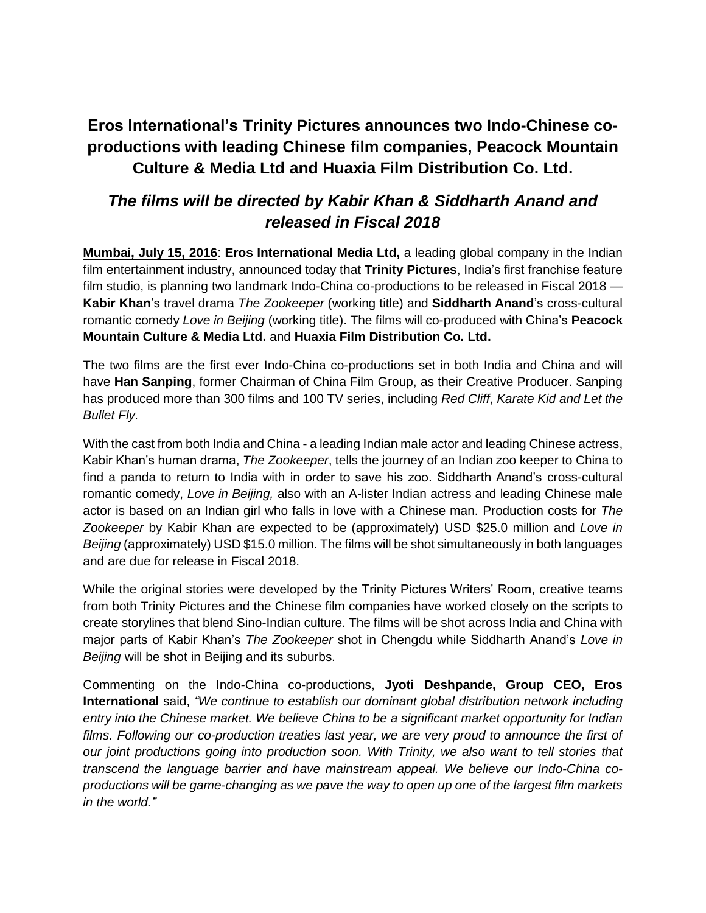# **Eros International's Trinity Pictures announces two Indo-Chinese coproductions with leading Chinese film companies, Peacock Mountain Culture & Media Ltd and Huaxia Film Distribution Co. Ltd.**

## *The films will be directed by Kabir Khan & Siddharth Anand and released in Fiscal 2018*

**Mumbai, July 15, 2016**: **Eros International Media Ltd,** a leading global company in the Indian film entertainment industry, announced today that **Trinity Pictures**, India's first franchise feature film studio, is planning two landmark Indo-China co-productions to be released in Fiscal 2018 — **Kabir Khan**'s travel drama *The Zookeeper* (working title) and **Siddharth Anand**'s cross-cultural romantic comedy *Love in Beijing* (working title). The films will co-produced with China's **Peacock Mountain Culture & Media Ltd.** and **Huaxia Film Distribution Co. Ltd.** 

The two films are the first ever Indo-China co-productions set in both India and China and will have **Han Sanping**, former Chairman of China Film Group, as their Creative Producer. Sanping has produced more than 300 films and 100 TV series, including *Red Cliff*, *Karate Kid and Let the Bullet Fly.*

With the cast from both India and China - a leading Indian male actor and leading Chinese actress, Kabir Khan's human drama, *The Zookeeper*, tells the journey of an Indian zoo keeper to China to find a panda to return to India with in order to save his zoo. Siddharth Anand's cross-cultural romantic comedy, *Love in Beijing,* also with an A-lister Indian actress and leading Chinese male actor is based on an Indian girl who falls in love with a Chinese man. Production costs for *The Zookeeper* by Kabir Khan are expected to be (approximately) USD \$25.0 million and *Love in Beijing* (approximately) USD \$15.0 million. The films will be shot simultaneously in both languages and are due for release in Fiscal 2018.

While the original stories were developed by the Trinity Pictures Writers' Room, creative teams from both Trinity Pictures and the Chinese film companies have worked closely on the scripts to create storylines that blend Sino-Indian culture. The films will be shot across India and China with major parts of Kabir Khan's *The Zookeeper* shot in Chengdu while Siddharth Anand's *Love in Beijing* will be shot in Beijing and its suburbs.

Commenting on the Indo-China co-productions, **Jyoti Deshpande, Group CEO, Eros International** said, *"We continue to establish our dominant global distribution network including entry into the Chinese market. We believe China to be a significant market opportunity for Indian films. Following our co-production treaties last year, we are very proud to announce the first of our joint productions going into production soon. With Trinity, we also want to tell stories that transcend the language barrier and have mainstream appeal. We believe our Indo-China coproductions will be game-changing as we pave the way to open up one of the largest film markets in the world."*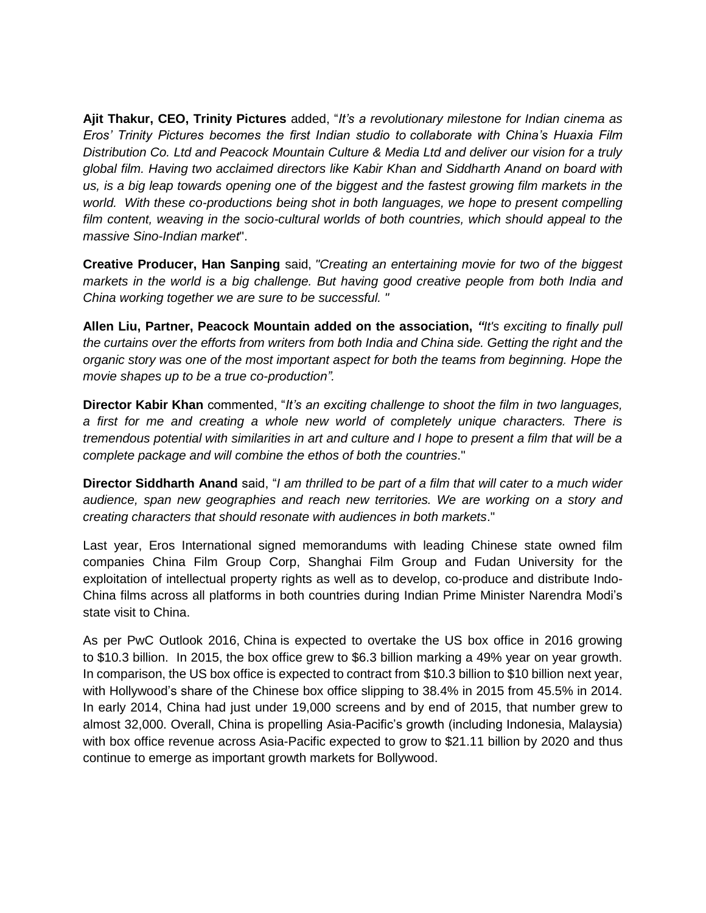**Ajit Thakur, CEO, Trinity Pictures** added, "*It's a revolutionary milestone for Indian cinema as Eros' Trinity Pictures becomes the first Indian studio to collaborate with China's Huaxia Film Distribution Co. Ltd and Peacock Mountain Culture & Media Ltd and deliver our vision for a truly global film. Having two acclaimed directors like Kabir Khan and Siddharth Anand on board with us, is a big leap towards opening one of the biggest and the fastest growing film markets in the world. With these co-productions being shot in both languages, we hope to present compelling*  film content, weaving in the socio-cultural worlds of both countries, which should appeal to the *massive Sino-Indian market*".

**Creative Producer, Han Sanping** said, *"Creating an entertaining movie for two of the biggest markets in the world is a big challenge. But having good creative people from both India and China working together we are sure to be successful. "*

**Allen Liu, Partner, Peacock Mountain added on the association,** *"It's exciting to finally pull the curtains over the efforts from writers from both India and China side. Getting the right and the organic story was one of the most important aspect for both the teams from beginning. Hope the movie shapes up to be a true co-production".*

**Director Kabir Khan** commented, "*It's an exciting challenge to shoot the film in two languages, a first for me and creating a whole new world of completely unique characters. There is tremendous potential with similarities in art and culture and I hope to present a film that will be a complete package and will combine the ethos of both the countries*."

**Director Siddharth Anand** said, "*I am thrilled to be part of a film that will cater to a much wider audience, span new geographies and reach new territories. We are working on a story and creating characters that should resonate with audiences in both markets*."

Last year, Eros International signed memorandums with leading Chinese state owned film companies China Film Group Corp, Shanghai Film Group and Fudan University for the exploitation of intellectual property rights as well as to develop, co-produce and distribute Indo-China films across all platforms in both countries during Indian Prime Minister Narendra Modi's state visit to China.

As per PwC Outlook 2016, China is expected to overtake the US box office in 2016 growing to \$10.3 billion. In 2015, the box office grew to \$6.3 billion marking a 49% year on year growth. In comparison, the US box office is expected to contract from \$10.3 billion to \$10 billion next year, with Hollywood's share of the Chinese box office slipping to 38.4% in 2015 from 45.5% in 2014. In early 2014, China had just under 19,000 screens and by end of 2015, that number grew to almost 32,000. Overall, China is propelling Asia-Pacific's growth (including Indonesia, Malaysia) with box office revenue across Asia-Pacific expected to grow to \$21.11 billion by 2020 and thus continue to emerge as important growth markets for Bollywood.